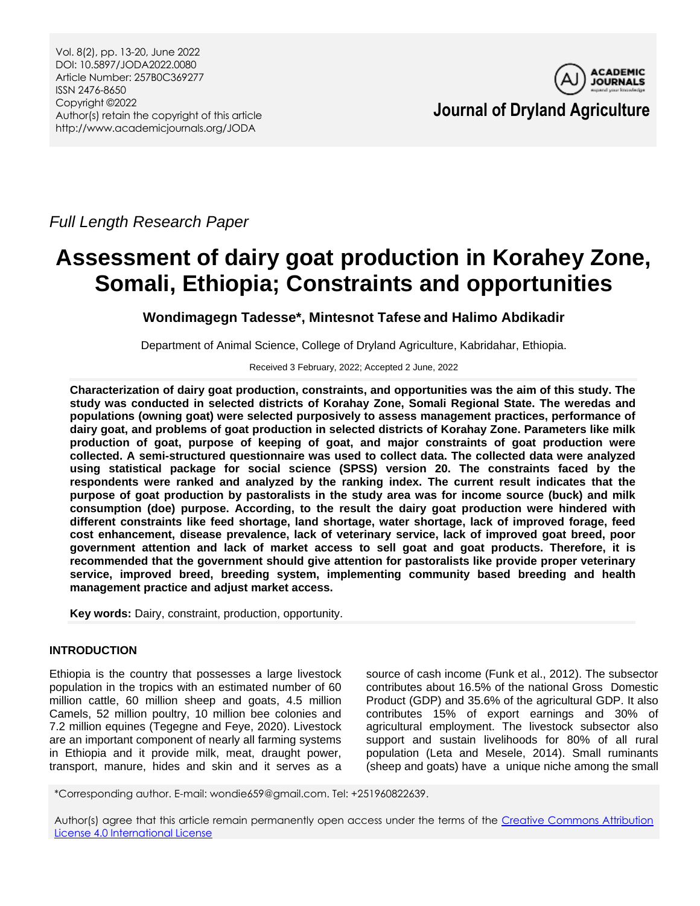*Full Length Research Paper*

# **Assessment of dairy goat production in Korahey Zone, Somali, Ethiopia; Constraints and opportunities**

**Wondimagegn Tadesse\*, Mintesnot Tafese and Halimo Abdikadir**

Department of Animal Science, College of Dryland Agriculture, Kabridahar, Ethiopia.

Received 3 February, 2022; Accepted 2 June, 2022

**Characterization of dairy goat production, constraints, and opportunities was the aim of this study. The study was conducted in selected districts of Korahay Zone, Somali Regional State. The weredas and populations (owning goat) were selected purposively to assess management practices, performance of dairy goat, and problems of goat production in selected districts of Korahay Zone. Parameters like milk production of goat, purpose of keeping of goat, and major constraints of goat production were collected. A semi-structured questionnaire was used to collect data. The collected data were analyzed using statistical package for social science (SPSS) version 20. The constraints faced by the respondents were ranked and analyzed by the ranking index. The current result indicates that the purpose of goat production by pastoralists in the study area was for income source (buck) and milk consumption (doe) purpose. According, to the result the dairy goat production were hindered with different constraints like feed shortage, land shortage, water shortage, lack of improved forage, feed cost enhancement, disease prevalence, lack of veterinary service, lack of improved goat breed, poor government attention and lack of market access to sell goat and goat products. Therefore, it is recommended that the government should give attention for pastoralists like provide proper veterinary service, improved breed, breeding system, implementing community based breeding and health management practice and adjust market access.**

**Key words:** Dairy, constraint, production, opportunity.

# **INTRODUCTION**

Ethiopia is the country that possesses a large livestock population in the tropics with an estimated number of 60 million cattle, 60 million sheep and goats, 4.5 million Camels, 52 million poultry, 10 million bee colonies and 7.2 million equines (Tegegne and Feye, 2020). Livestock are an important component of nearly all farming systems in Ethiopia and it provide milk, meat, draught power, transport, manure, hides and skin and it serves as a

source of cash income (Funk et al., 2012). The subsector contributes about 16.5% of the national Gross Domestic Product (GDP) and 35.6% of the agricultural GDP. It also contributes 15% of export earnings and 30% of agricultural employment. The livestock subsector also support and sustain livelihoods for 80% of all rural population (Leta and Mesele, 2014). Small ruminants (sheep and goats) have a unique niche among the small

\*Corresponding author. E-mail: wondie659@gmail.com. Tel: +251960822639.

Author(s) agree that this article remain permanently open access under the terms of the [Creative Commons Attribution](http://creativecommons.org/licenses/by/4.0/deed.en_US)  [License 4.0 International License](http://creativecommons.org/licenses/by/4.0/deed.en_US)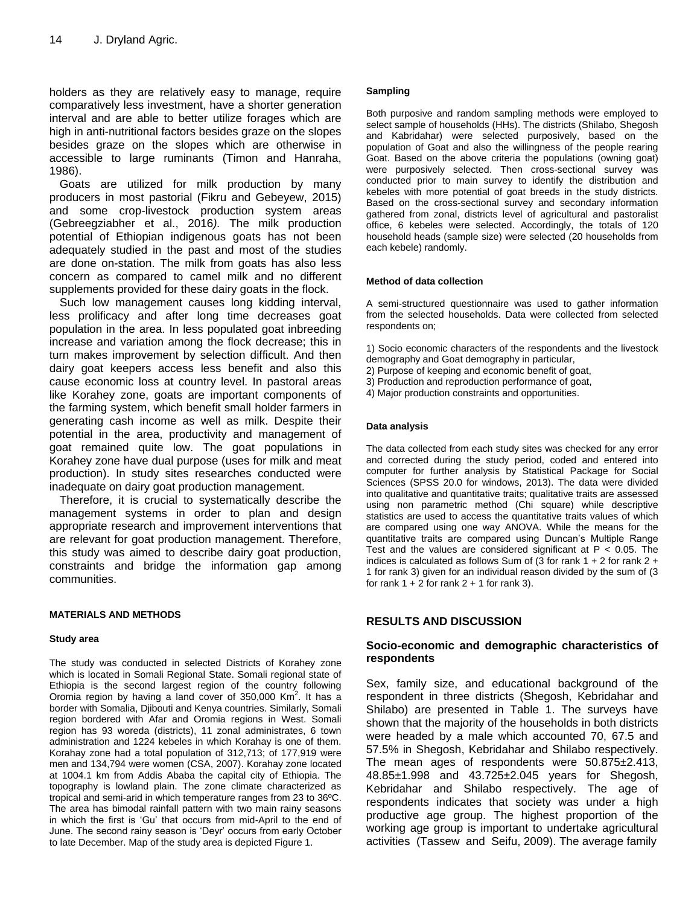holders as they are relatively easy to manage, require comparatively less investment, have a shorter generation interval and are able to better utilize forages which are high in anti-nutritional factors besides graze on the slopes besides graze on the slopes which are otherwise in accessible to large ruminants (Timon and Hanraha, 1986).

Goats are utilized for milk production by many producers in most pastorial (Fikru and Gebeyew, 2015) and some crop-livestock production system areas (Gebreegziabher et al., 2016*).* The milk production potential of Ethiopian indigenous goats has not been adequately studied in the past and most of the studies are done on-station. The milk from goats has also less concern as compared to camel milk and no different supplements provided for these dairy goats in the flock.

Such low management causes long kidding interval, less prolificacy and after long time decreases goat population in the area. In less populated goat inbreeding increase and variation among the flock decrease; this in turn makes improvement by selection difficult. And then dairy goat keepers access less benefit and also this cause economic loss at country level. In pastoral areas like Korahey zone, goats are important components of the farming system, which benefit small holder farmers in generating cash income as well as milk. Despite their potential in the area, productivity and management of goat remained quite low. The goat populations in Korahey zone have dual purpose (uses for milk and meat production). In study sites researches conducted were inadequate on dairy goat production management.

Therefore, it is crucial to systematically describe the management systems in order to plan and design appropriate research and improvement interventions that are relevant for goat production management. Therefore, this study was aimed to describe dairy goat production, constraints and bridge the information gap among communities.

#### **MATERIALS AND METHODS**

#### **Study area**

The study was conducted in selected Districts of Korahey zone which is located in Somali Regional State. Somali regional state of Ethiopia is the second largest region of the country following Oromia region by having a land cover of 350,000  $\text{Km}^2$ . It has a border with Somalia, Djibouti and Kenya countries. Similarly, Somali region bordered with Afar and Oromia regions in West. Somali region has 93 woreda (districts), 11 zonal administrates, 6 town administration and 1224 kebeles in which Korahay is one of them. Korahay zone had a total population of 312,713; of 177,919 were men and 134,794 were women (CSA, 2007). Korahay zone located at 1004.1 km from Addis Ababa the capital city of Ethiopia. The topography is lowland plain. The zone climate characterized as tropical and semi-arid in which temperature ranges from 23 to 36ºC. The area has bimodal rainfall pattern with two main rainy seasons in which the first is 'Gu' that occurs from mid-April to the end of June. The second rainy season is 'Deyr' occurs from early October to late December. Map of the study area is depicted Figure 1.

#### **Sampling**

Both purposive and random sampling methods were employed to select sample of households (HHs). The districts (Shilabo, Shegosh and Kabridahar) were selected purposively, based on the population of Goat and also the willingness of the people rearing Goat. Based on the above criteria the populations (owning goat) were purposively selected. Then cross-sectional survey was conducted prior to main survey to identify the distribution and kebeles with more potential of goat breeds in the study districts. Based on the cross-sectional survey and secondary information gathered from zonal, districts level of agricultural and pastoralist office, 6 kebeles were selected. Accordingly, the totals of 120 household heads (sample size) were selected (20 households from each kebele) randomly.

#### **Method of data collection**

A semi-structured questionnaire was used to gather information from the selected households. Data were collected from selected respondents on;

- 1) Socio economic characters of the respondents and the livestock
- demography and Goat demography in particular,
- 2) Purpose of keeping and economic benefit of goat,
- 3) Production and reproduction performance of goat,
- 4) Major production constraints and opportunities.

#### **Data analysis**

The data collected from each study sites was checked for any error and corrected during the study period, coded and entered into computer for further analysis by Statistical Package for Social Sciences (SPSS 20.0 for windows, 2013). The data were divided into qualitative and quantitative traits; qualitative traits are assessed using non parametric method (Chi square) while descriptive statistics are used to access the quantitative traits values of which are compared using one way ANOVA. While the means for the quantitative traits are compared using Duncan's Multiple Range Test and the values are considered significant at  $P < 0.05$ . The indices is calculated as follows Sum of (3 for rank 1 + 2 for rank 2 + 1 for rank 3) given for an individual reason divided by the sum of (3 for rank  $1 + 2$  for rank  $2 + 1$  for rank 3).

#### **RESULTS AND DISCUSSION**

## **Socio-economic and demographic characteristics of respondents**

Sex, family size, and educational background of the respondent in three districts (Shegosh, Kebridahar and Shilabo) are presented in Table 1. The surveys have shown that the majority of the households in both districts were headed by a male which accounted 70, 67.5 and 57.5% in Shegosh, Kebridahar and Shilabo respectively. The mean ages of respondents were 50.875±2.413, 48.85±1.998 and 43.725±2.045 years for Shegosh, Kebridahar and Shilabo respectively. The age of respondents indicates that society was under a high productive age group. The highest proportion of the working age group is important to undertake agricultural activities (Tassew and Seifu, 2009). The average family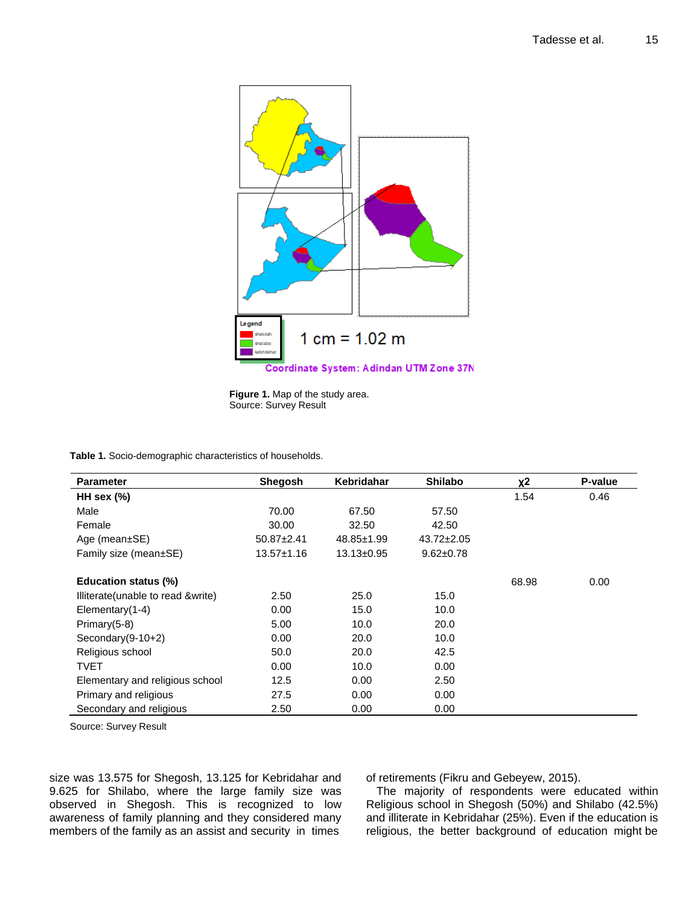

**Figure 1.** Map of the study area. Source: Survey Result

**Table 1.** Socio-demographic characteristics of households.

| <b>Parameter</b>                  | <b>Shegosh</b>   | Kebridahar       | <b>Shilabo</b>   | χ2    | P-value |
|-----------------------------------|------------------|------------------|------------------|-------|---------|
| HH sex $(\%)$                     |                  |                  |                  | 1.54  | 0.46    |
| Male                              | 70.00            | 67.50            | 57.50            |       |         |
| Female                            | 30.00            | 32.50            | 42.50            |       |         |
| Age (mean $\pm$ SE)               | $50.87 \pm 2.41$ | 48.85±1.99       | $43.72 \pm 2.05$ |       |         |
| Family size (mean±SE)             | $13.57 \pm 1.16$ | $13.13 \pm 0.95$ | $9.62 \pm 0.78$  |       |         |
| Education status (%)              |                  |                  |                  | 68.98 | 0.00    |
| Illiterate(unable to read &write) | 2.50             | 25.0             | 15.0             |       |         |
| Elementary(1-4)                   | 0.00             | 15.0             | 10.0             |       |         |
| Primary(5-8)                      | 5.00             | 10.0             | 20.0             |       |         |
| Secondary $(9-10+2)$              | 0.00             | 20.0             | 10.0             |       |         |
| Religious school                  | 50.0             | 20.0             | 42.5             |       |         |
| <b>TVET</b>                       | 0.00             | 10.0             | 0.00             |       |         |
| Elementary and religious school   | 12.5             | 0.00             | 2.50             |       |         |
| Primary and religious             | 27.5             | 0.00             | 0.00             |       |         |
| Secondary and religious           | 2.50             | 0.00             | 0.00             |       |         |

Source: Survey Result

size was 13.575 for Shegosh, 13.125 for Kebridahar and 9.625 for Shilabo, where the large family size was observed in Shegosh. This is recognized to low awareness of family planning and they considered many members of the family as an assist and security in times

of retirements (Fikru and Gebeyew, 2015).

The majority of respondents were educated within Religious school in Shegosh (50%) and Shilabo (42.5%) and illiterate in Kebridahar (25%). Even if the education is religious, the better background of education might be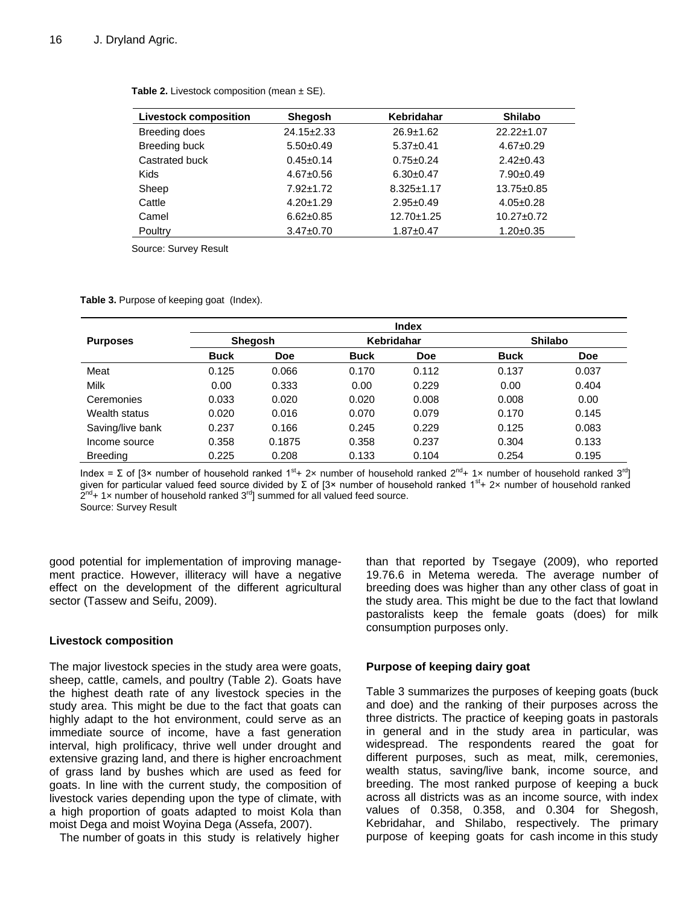| <b>Livestock composition</b> | <b>Shegosh</b>   | <b>Kebridahar</b> | <b>Shilabo</b>   |
|------------------------------|------------------|-------------------|------------------|
| Breeding does                | $24.15 \pm 2.33$ | $26.9 \pm 1.62$   | 22.22±1.07       |
| Breeding buck                | $5.50+0.49$      | $5.37+0.41$       | $4.67 + 0.29$    |
| Castrated buck               | $0.45 \pm 0.14$  | $0.75 \pm 0.24$   | $2.42 \pm 0.43$  |
| <b>Kids</b>                  | $4.67 \pm 0.56$  | $6.30+0.47$       | $7.90+0.49$      |
| Sheep                        | $7.92 \pm 1.72$  | $8.325 \pm 1.17$  | 13.75±0.85       |
| Cattle                       | $4.20 \pm 1.29$  | $2.95+0.49$       | $4.05 \pm 0.28$  |
| Camel                        | $6.62 \pm 0.85$  | $12.70 + 1.25$    | $10.27 \pm 0.72$ |
| Poultry                      | $3.47 \pm 0.70$  | $1.87 + 0.47$     | $1.20 \pm 0.35$  |

**Table 2.** Livestock composition (mean  $\pm$  SE).

Source: Survey Result

**Table 3.** Purpose of keeping goat (Index).

|                  | <b>Index</b>                 |            |             |                |             |            |
|------------------|------------------------------|------------|-------------|----------------|-------------|------------|
| <b>Purposes</b>  | Kebridahar<br><b>Shegosh</b> |            |             | <b>Shilabo</b> |             |            |
|                  | <b>Buck</b>                  | <b>Doe</b> | <b>Buck</b> | <b>Doe</b>     | <b>Buck</b> | <b>Doe</b> |
| Meat             | 0.125                        | 0.066      | 0.170       | 0.112          | 0.137       | 0.037      |
| Milk             | 0.00                         | 0.333      | 0.00        | 0.229          | 0.00        | 0.404      |
| Ceremonies       | 0.033                        | 0.020      | 0.020       | 0.008          | 0.008       | 0.00       |
| Wealth status    | 0.020                        | 0.016      | 0.070       | 0.079          | 0.170       | 0.145      |
| Saving/live bank | 0.237                        | 0.166      | 0.245       | 0.229          | 0.125       | 0.083      |
| Income source    | 0.358                        | 0.1875     | 0.358       | 0.237          | 0.304       | 0.133      |
| <b>Breeding</b>  | 0.225                        | 0.208      | 0.133       | 0.104          | 0.254       | 0.195      |

Index = Σ of [3× number of household ranked 1<sup>st</sup>+ 2x number of household ranked 2<sup>nd</sup>+ 1x number of household ranked 3<sup>rd</sup>] given for particular valued feed source divided by  $\Sigma$  of [3× number of household ranked 1<sup>st</sup>+ 2× number of household ranked  $2^{nd}$ + 1x number of household ranked  $3^{rd}$ ] summed for all valued feed source. Source: Survey Result

good potential for implementation of improving management practice. However, illiteracy will have a negative effect on the development of the different agricultural sector (Tassew and Seifu, 2009).

## **Livestock composition**

The major livestock species in the study area were goats, sheep, cattle, camels, and poultry (Table 2). Goats have the highest death rate of any livestock species in the study area. This might be due to the fact that goats can highly adapt to the hot environment, could serve as an immediate source of income, have a fast generation interval, high prolificacy, thrive well under drought and extensive grazing land, and there is higher encroachment of grass land by bushes which are used as feed for goats. In line with the current study, the composition of livestock varies depending upon the type of climate, with a high proportion of goats adapted to moist Kola than moist Dega and moist Woyina Dega (Assefa, 2007).

The number of goats in this study is relatively higher

than that reported by Tsegaye (2009), who reported 19.76.6 in Metema wereda. The average number of breeding does was higher than any other class of goat in the study area. This might be due to the fact that lowland pastoralists keep the female goats (does) for milk consumption purposes only.

# **Purpose of keeping dairy goat**

Table 3 summarizes the purposes of keeping goats (buck and doe) and the ranking of their purposes across the three districts. The practice of keeping goats in pastorals in general and in the study area in particular, was widespread. The respondents reared the goat for different purposes, such as meat, milk, ceremonies, wealth status, saving/live bank, income source, and breeding. The most ranked purpose of keeping a buck across all districts was as an income source, with index values of 0.358, 0.358, and 0.304 for Shegosh, Kebridahar, and Shilabo, respectively. The primary purpose of keeping goats for cash income in this study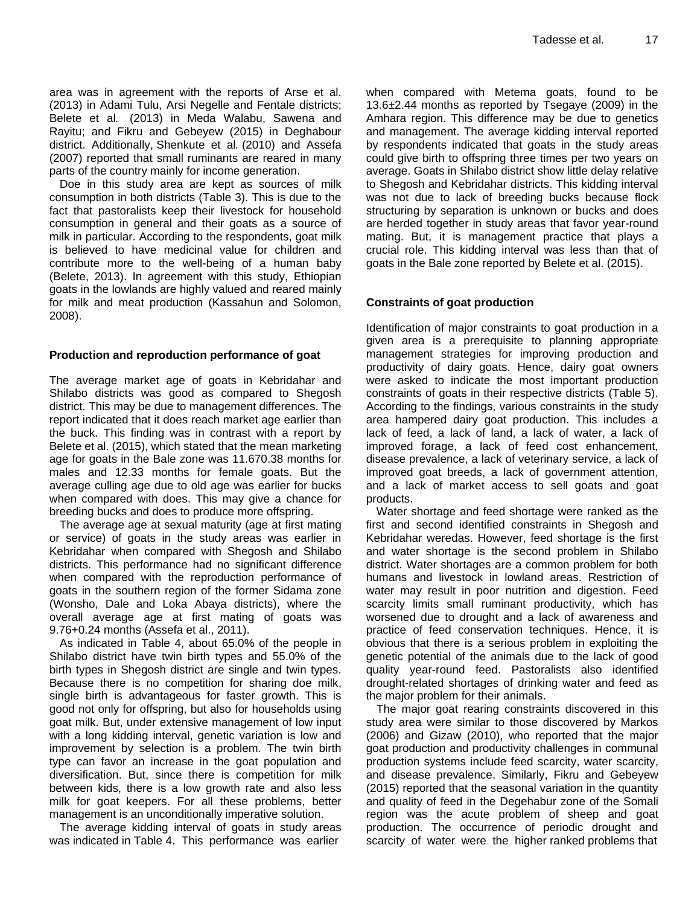area was in agreement with the reports of Arse et al. (2013) in Adami Tulu, Arsi Negelle and Fentale districts; Belete et al*.* (2013) in Meda Walabu, Sawena and Rayitu; and Fikru and Gebeyew (2015) in Deghabour district. Additionally, Shenkute et al*.* (2010) and Assefa (2007) reported that small ruminants are reared in many parts of the country mainly for income generation.

Doe in this study area are kept as sources of milk consumption in both districts (Table 3). This is due to the fact that pastoralists keep their livestock for household consumption in general and their goats as a source of milk in particular. According to the respondents, goat milk is believed to have medicinal value for children and contribute more to the well-being of a human baby (Belete, 2013). In agreement with this study, Ethiopian goats in the lowlands are highly valued and reared mainly for milk and meat production (Kassahun and Solomon, 2008).

## **Production and reproduction performance of goat**

The average market age of goats in Kebridahar and Shilabo districts was good as compared to Shegosh district. This may be due to management differences. The report indicated that it does reach market age earlier than the buck. This finding was in contrast with a report by Belete et al. (2015), which stated that the mean marketing age for goats in the Bale zone was 11.670.38 months for males and 12.33 months for female goats. But the average culling age due to old age was earlier for bucks when compared with does. This may give a chance for breeding bucks and does to produce more offspring.

The average age at sexual maturity (age at first mating or service) of goats in the study areas was earlier in Kebridahar when compared with Shegosh and Shilabo districts. This performance had no significant difference when compared with the reproduction performance of goats in the southern region of the former Sidama zone (Wonsho, Dale and Loka Abaya districts), where the overall average age at first mating of goats was 9.76+0.24 months (Assefa et al., 2011).

As indicated in Table 4, about 65.0% of the people in Shilabo district have twin birth types and 55.0% of the birth types in Shegosh district are single and twin types. Because there is no competition for sharing doe milk, single birth is advantageous for faster growth. This is good not only for offspring, but also for households using goat milk. But, under extensive management of low input with a long kidding interval, genetic variation is low and improvement by selection is a problem. The twin birth type can favor an increase in the goat population and diversification. But, since there is competition for milk between kids, there is a low growth rate and also less milk for goat keepers. For all these problems, better management is an unconditionally imperative solution.

The average kidding interval of goats in study areas was indicated in Table 4. This performance was earlier

when compared with Metema goats, found to be 13.6±2.44 months as reported by Tsegaye (2009) in the Amhara region. This difference may be due to genetics and management. The average kidding interval reported by respondents indicated that goats in the study areas could give birth to offspring three times per two years on average. Goats in Shilabo district show little delay relative to Shegosh and Kebridahar districts. This kidding interval was not due to lack of breeding bucks because flock structuring by separation is unknown or bucks and does are herded together in study areas that favor year-round mating. But, it is management practice that plays a crucial role. This kidding interval was less than that of goats in the Bale zone reported by Belete et al. (2015).

# **Constraints of goat production**

Identification of major constraints to goat production in a given area is a prerequisite to planning appropriate management strategies for improving production and productivity of dairy goats. Hence, dairy goat owners were asked to indicate the most important production constraints of goats in their respective districts (Table 5). According to the findings, various constraints in the study area hampered dairy goat production. This includes a lack of feed, a lack of land, a lack of water, a lack of improved forage, a lack of feed cost enhancement, disease prevalence, a lack of veterinary service, a lack of improved goat breeds, a lack of government attention, and a lack of market access to sell goats and goat products.

Water shortage and feed shortage were ranked as the first and second identified constraints in Shegosh and Kebridahar weredas. However, feed shortage is the first and water shortage is the second problem in Shilabo district. Water shortages are a common problem for both humans and livestock in lowland areas. Restriction of water may result in poor nutrition and digestion. Feed scarcity limits small ruminant productivity, which has worsened due to drought and a lack of awareness and practice of feed conservation techniques. Hence, it is obvious that there is a serious problem in exploiting the genetic potential of the animals due to the lack of good quality year-round feed. Pastoralists also identified drought-related shortages of drinking water and feed as the major problem for their animals.

The major goat rearing constraints discovered in this study area were similar to those discovered by Markos (2006) and Gizaw (2010), who reported that the major goat production and productivity challenges in communal production systems include feed scarcity, water scarcity, and disease prevalence. Similarly, Fikru and Gebeyew (2015) reported that the seasonal variation in the quantity and quality of feed in the Degehabur zone of the Somali region was the acute problem of sheep and goat production. The occurrence of periodic drought and scarcity of water were the higher ranked problems that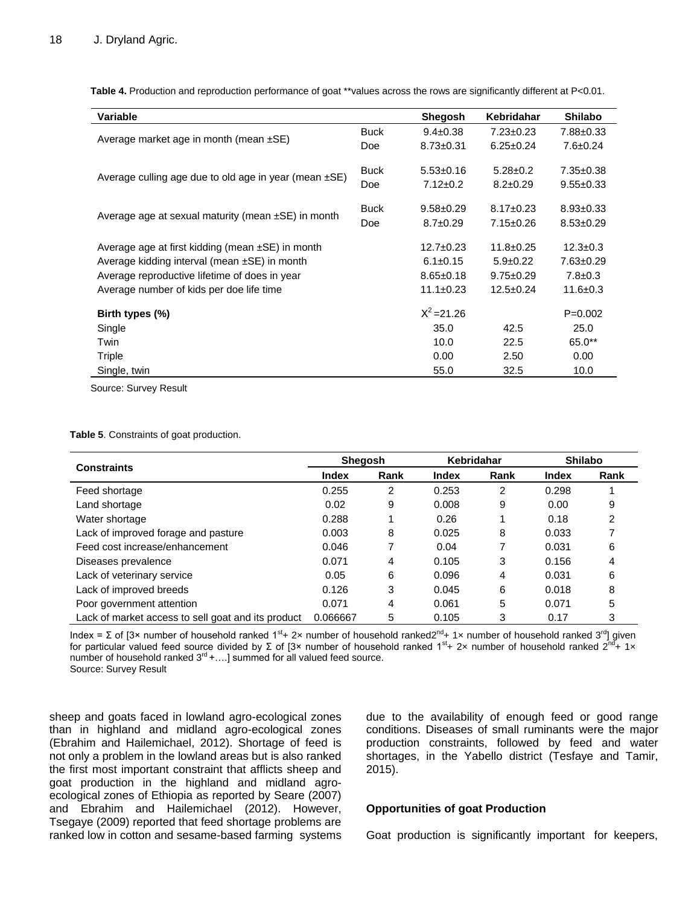**Table 4.** Production and reproduction performance of goat \*\*values across the rows are significantly different at P<0.01.

| Variable                                                   |             | <b>Shegosh</b>  | Kebridahar      | <b>Shilabo</b>  |
|------------------------------------------------------------|-------------|-----------------|-----------------|-----------------|
|                                                            | <b>Buck</b> | $9.4 \pm 0.38$  | $7.23 \pm 0.23$ | 7.88±0.33       |
| Average market age in month (mean $\pm$ SE)                | Doe         | $8.73 \pm 0.31$ | $6.25 \pm 0.24$ | $7.6 \pm 0.24$  |
| Average culling age due to old age in year (mean $\pm$ SE) |             | $5.53 \pm 0.16$ | $5.28 \pm 0.2$  | $7.35 \pm 0.38$ |
|                                                            | Doe         | $7.12 \pm 0.2$  | $8.2 \pm 0.29$  | $9.55 \pm 0.33$ |
| Average age at sexual maturity (mean $\pm$ SE) in month    | <b>Buck</b> | $9.58 + 0.29$   | $8.17 \pm 0.23$ | $8.93 \pm 0.33$ |
|                                                            | Doe         | $8.7 \pm 0.29$  | 7.15±0.26       | $8.53 \pm 0.29$ |
| Average age at first kidding (mean $\pm$ SE) in month      |             | $12.7 \pm 0.23$ | $11.8 \pm 0.25$ | $12.3 \pm 0.3$  |
| Average kidding interval (mean $\pm$ SE) in month          |             | $6.1 \pm 0.15$  | $5.9 \pm 0.22$  | $7.63 \pm 0.29$ |
| Average reproductive lifetime of does in year              |             | $8.65 \pm 0.18$ | $9.75 \pm 0.29$ | $7.8 \pm 0.3$   |
| Average number of kids per doe life time                   |             | $11.1 \pm 0.23$ | $12.5 \pm 0.24$ | $11.6 \pm 0.3$  |
| Birth types (%)                                            |             | $X^2 = 21.26$   |                 | $P=0.002$       |
| Single                                                     |             | 35.0            | 42.5            | 25.0            |
| Twin                                                       |             | 10.0            | 22.5            | 65.0**          |
| Triple                                                     |             | 0.00            | 2.50            | 0.00            |
| Single, twin                                               |             | 55.0            | 32.5            | 10.0            |

Source: Survey Result

**Table 5**. Constraints of goat production.

|                                                    | <b>Shegosh</b> |      | Kebridahar |      | <b>Shilabo</b> |      |
|----------------------------------------------------|----------------|------|------------|------|----------------|------|
| <b>Constraints</b>                                 | <b>Index</b>   | Rank | Index      | Rank | <b>Index</b>   | Rank |
| Feed shortage                                      | 0.255          | 2    | 0.253      | 2    | 0.298          |      |
| Land shortage                                      | 0.02           | 9    | 0.008      | 9    | 0.00           | 9    |
| Water shortage                                     | 0.288          |      | 0.26       |      | 0.18           | 2    |
| Lack of improved forage and pasture                | 0.003          | 8    | 0.025      | 8    | 0.033          |      |
| Feed cost increase/enhancement                     | 0.046          | 7    | 0.04       | 7    | 0.031          | 6    |
| Diseases prevalence                                | 0.071          | 4    | 0.105      | 3    | 0.156          |      |
| Lack of veterinary service                         | 0.05           | 6    | 0.096      | 4    | 0.031          | 6    |
| Lack of improved breeds                            | 0.126          | 3    | 0.045      | 6    | 0.018          | 8    |
| Poor government attention                          | 0.071          | 4    | 0.061      | 5    | 0.071          | 5    |
| Lack of market access to sell goat and its product | 0.066667       | 5    | 0.105      | 3    | 0.17           | 3    |

Index = Σ of [3× number of household ranked 1<sup>st</sup>+ 2× number of household ranked2<sup>nd</sup>+ 1× number of household ranked 3<sup>rd</sup>] given for particular valued feed source divided by Σ of [3× number of household ranked 1<sup>st</sup>+ 2× number of household ranked 2<sup>nd</sup>+ 1× number of household ranked  $3^{rd}$  +....] summed for all valued feed source. Source: Survey Result

sheep and goats faced in lowland agro-ecological zones than in highland and midland agro-ecological zones (Ebrahim and Hailemichael, 2012). Shortage of feed is not only a problem in the lowland areas but is also ranked the first most important constraint that afflicts sheep and goat production in the highland and midland agroecological zones of Ethiopia as reported by Seare (2007) and Ebrahim and Hailemichael (2012). However, Tsegaye (2009) reported that feed shortage problems are ranked low in cotton and sesame-based farming systems

due to the availability of enough feed or good range conditions. Diseases of small ruminants were the major production constraints, followed by feed and water shortages, in the Yabello district (Tesfaye and Tamir, 2015).

# **Opportunities of goat Production**

Goat production is significantly important for keepers,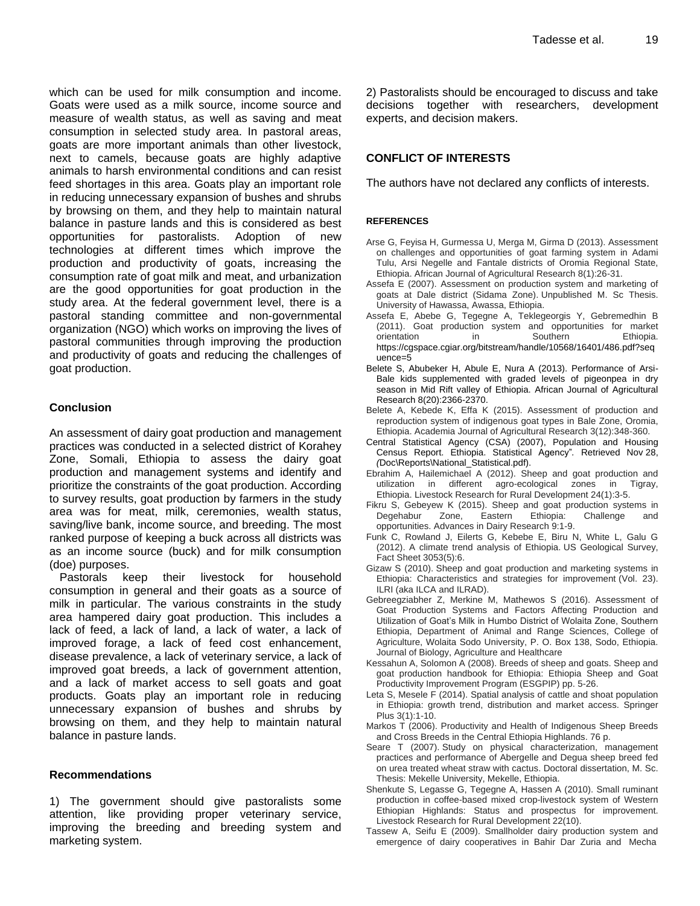which can be used for milk consumption and income. Goats were used as a milk source, income source and measure of wealth status, as well as saving and meat consumption in selected study area. In pastoral areas, goats are more important animals than other livestock, next to camels, because goats are highly adaptive animals to harsh environmental conditions and can resist feed shortages in this area. Goats play an important role in reducing unnecessary expansion of bushes and shrubs by browsing on them, and they help to maintain natural balance in pasture lands and this is considered as best opportunities for pastoralists. Adoption of new technologies at different times which improve the production and productivity of goats, increasing the consumption rate of goat milk and meat, and urbanization are the good opportunities for goat production in the study area. At the federal government level, there is a pastoral standing committee and non-governmental organization (NGO) which works on improving the lives of pastoral communities through improving the production and productivity of goats and reducing the challenges of goat production.

## **Conclusion**

An assessment of dairy goat production and management practices was conducted in a selected district of Korahey Zone, Somali, Ethiopia to assess the dairy goat production and management systems and identify and prioritize the constraints of the goat production. According to survey results, goat production by farmers in the study area was for meat, milk, ceremonies, wealth status, saving/live bank, income source, and breeding. The most ranked purpose of keeping a buck across all districts was as an income source (buck) and for milk consumption (doe) purposes.

Pastorals keep their livestock for household consumption in general and their goats as a source of milk in particular. The various constraints in the study area hampered dairy goat production. This includes a lack of feed, a lack of land, a lack of water, a lack of improved forage, a lack of feed cost enhancement, disease prevalence, a lack of veterinary service, a lack of improved goat breeds, a lack of government attention, and a lack of market access to sell goats and goat products. Goats play an important role in reducing unnecessary expansion of bushes and shrubs by browsing on them, and they help to maintain natural balance in pasture lands.

#### **Recommendations**

1) The government should give pastoralists some attention, like providing proper veterinary service, improving the breeding and breeding system and marketing system.

2) Pastoralists should be encouraged to discuss and take decisions together with researchers, development experts, and decision makers.

# **CONFLICT OF INTERESTS**

The authors have not declared any conflicts of interests.

#### **REFERENCES**

- Arse G, Feyisa H, Gurmessa U, Merga M, Girma D (2013). Assessment on challenges and opportunities of goat farming system in Adami Tulu, Arsi Negelle and Fantale districts of Oromia Regional State, Ethiopia. African Journal of Agricultural Research 8(1):26-31.
- Assefa E (2007). Assessment on production system and marketing of goats at Dale district (Sidama Zone). Unpublished M. Sc Thesis. University of Hawassa, Awassa, Ethiopia.
- Assefa E, Abebe G, Tegegne A, Teklegeorgis Y, Gebremedhin B (2011). Goat production system and opportunities for market orientation in Southern Ethiopia. https://cgspace.cgiar.org/bitstream/handle/10568/16401/486.pdf?seq uence=5
- Belete S, Abubeker H, Abule E, Nura A (2013). Performance of Arsi-Bale kids supplemented with graded levels of pigeonpea in dry season in Mid Rift valley of Ethiopia. African Journal of Agricultural Research 8(20):2366-2370.
- Belete A, Kebede K, Effa K (2015). Assessment of production and reproduction system of indigenous goat types in Bale Zone, Oromia, Ethiopia. Academia Journal of Agricultural Research 3(12):348-360.
- Central Statistical Agency (CSA) (2007), Population and Housing Census Report. Ethiopia. Statistical Agency"*.* Retrieved Nov 28, *(*Doc\Reports\National\_Statistical.pdf).
- Ebrahim A, Hailemichael A (2012). Sheep and goat production and utilization in different agro-ecological zones in Tigray, Ethiopia. Livestock Research for Rural Development 24(1):3-5.
- Fikru S, Gebeyew K (2015). Sheep and goat production systems in Degehabur Zone, Eastern Ethiopia: Challenge and opportunities. Advances in Dairy Research 9:1-9.
- Funk C, Rowland J, Eilerts G, Kebebe E, Biru N, White L, Galu G (2012). A climate trend analysis of Ethiopia. US Geological Survey, Fact Sheet 3053(5):6.
- Gizaw S (2010). Sheep and goat production and marketing systems in Ethiopia: Characteristics and strategies for improvement (Vol. 23). ILRI (aka ILCA and ILRAD).
- Gebreegziabher Z, Merkine M, Mathewos S (2016). Assessment of Goat Production Systems and Factors Affecting Production and Utilization of Goat's Milk in Humbo District of Wolaita Zone, Southern Ethiopia, Department of Animal and Range Sciences, College of Agriculture, Wolaita Sodo University, P. O. Box 138, Sodo, Ethiopia. Journal of Biology, Agriculture and Healthcare
- Kessahun A, Solomon A (2008). Breeds of sheep and goats. Sheep and goat production handbook for Ethiopia: Ethiopia Sheep and Goat Productivity Improvement Program (ESGPIP) pp. 5-26.
- Leta S, Mesele F (2014). Spatial analysis of cattle and shoat population in Ethiopia: growth trend, distribution and market access. Springer Plus 3(1):1-10.
- Markos T (2006). Productivity and Health of Indigenous Sheep Breeds and Cross Breeds in the Central Ethiopia Highlands. 76 p.
- Seare T (2007). Study on physical characterization, management practices and performance of Abergelle and Degua sheep breed fed on urea treated wheat straw with cactus. Doctoral dissertation, M. Sc. Thesis: Mekelle University, Mekelle, Ethiopia.
- Shenkute S, Legasse G, Tegegne A, Hassen A (2010). Small ruminant production in coffee-based mixed crop-livestock system of Western Ethiopian Highlands: Status and prospectus for improvement. Livestock Research for Rural Development 22(10).
- Tassew A, Seifu E (2009). Smallholder dairy production system and emergence of dairy cooperatives in Bahir Dar Zuria and Mecha